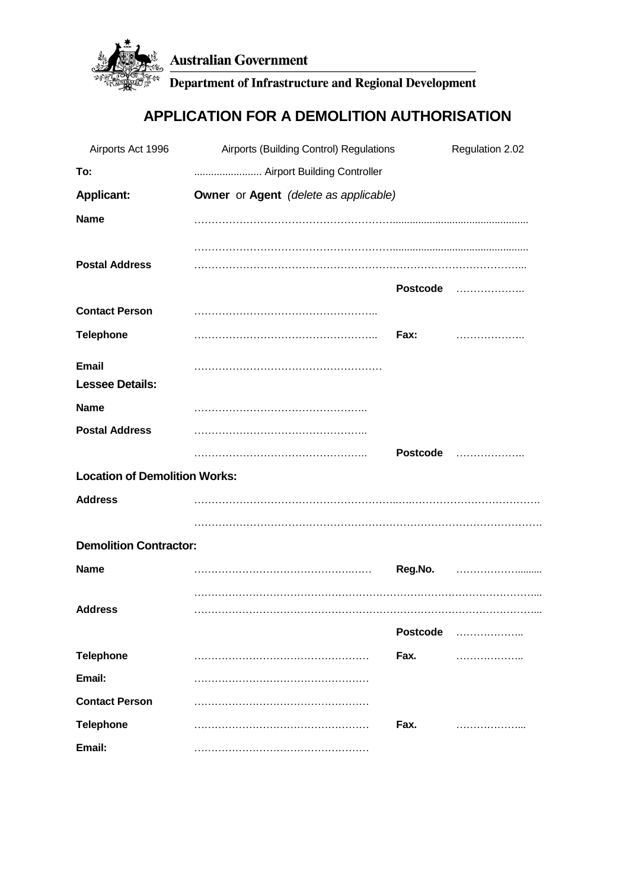

Department of Infrastructure and Regional Development

# **APPLICATION FOR A DEMOLITION AUTHORISATION**

| Airports Act 1996                      | Airports (Building Control) Regulations |                 | Regulation 2.02 |
|----------------------------------------|-----------------------------------------|-----------------|-----------------|
| To:                                    | Airport Building Controller             |                 |                 |
| <b>Applicant:</b>                      | Owner or Agent (delete as applicable)   |                 |                 |
| <b>Name</b>                            |                                         |                 |                 |
| <b>Postal Address</b>                  |                                         |                 | Postcode        |
| <b>Contact Person</b>                  |                                         |                 |                 |
| <b>Telephone</b>                       |                                         | Fax:            | .               |
| <b>Email</b><br><b>Lessee Details:</b> |                                         |                 |                 |
| <b>Name</b>                            |                                         |                 |                 |
| <b>Postal Address</b>                  |                                         |                 |                 |
|                                        |                                         | <b>Postcode</b> | .               |
| <b>Location of Demolition Works:</b>   |                                         |                 |                 |
| <b>Address</b>                         |                                         |                 |                 |
|                                        |                                         |                 |                 |
| <b>Demolition Contractor:</b>          |                                         |                 |                 |
| <b>Name</b>                            |                                         | Reg.No.         |                 |
| <b>Address</b>                         |                                         |                 |                 |
|                                        |                                         | <b>Postcode</b> |                 |
| <b>Telephone</b>                       |                                         | Fax.            |                 |
| Email:                                 |                                         |                 |                 |
| <b>Contact Person</b>                  |                                         |                 |                 |
| <b>Telephone</b>                       |                                         | Fax.            |                 |
| Email:                                 |                                         |                 |                 |